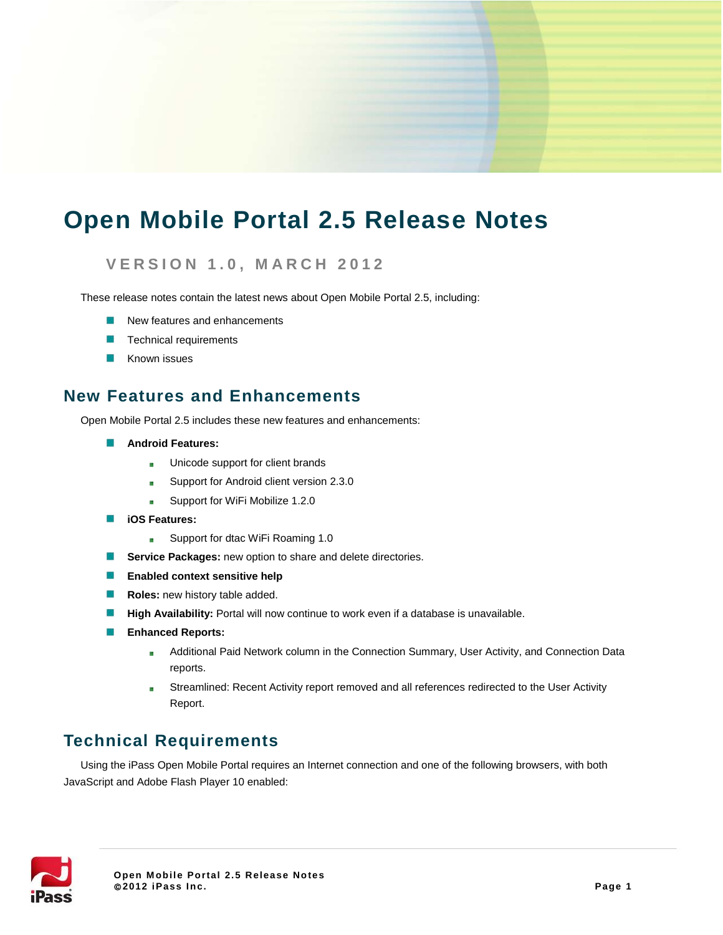# **Open Mobile Portal 2.5 Release Notes**

### **VERSION 1.0, MARCH 2 012**

These release notes contain the latest news about Open Mobile Portal 2.5, including:

- New features and enhancements
- Technical requirements
- Known issues

### **New Features and Enhancements**

Open Mobile Portal 2.5 includes these new features and enhancements:

- **Android Features:**
	- Unicode support for client brands a.
	- Support for Android client version 2.3.0 臨
	- Support for WiFi Mobilize 1.2.0  $\frac{1}{2}$
- **iOS Features:** 
	- Support for dtac WiFi Roaming 1.0  $\mathbb{R}^n$
- **Service Packages:** new option to share and delete directories.
- **Enabled context sensitive help**
- **ISB Roles:** new history table added.
- B **High Availability:** Portal will now continue to work even if a database is unavailable.
- **Enhanced Reports:** 
	- Additional Paid Network column in the Connection Summary, User Activity, and Connection Data 靈 reports.
	- Streamlined: Recent Activity report removed and all references redirected to the User Activity  $\overline{\mathbf{u}}$ Report.

### **Technical Requirements**

Using the iPass Open Mobile Portal requires an Internet connection and one of the following browsers, with both JavaScript and Adobe Flash Player 10 enabled:

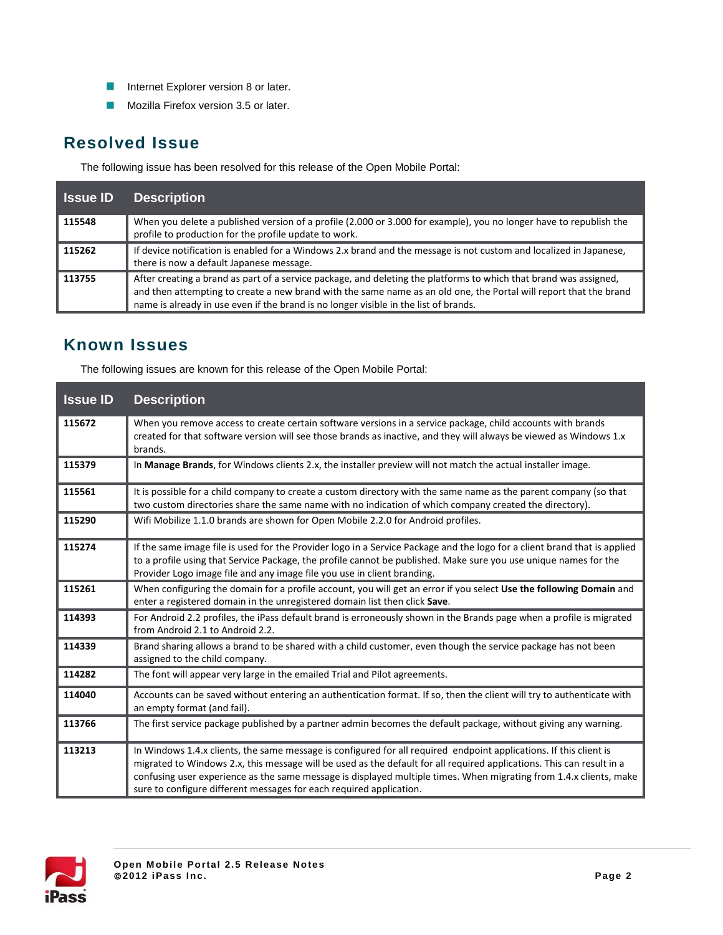- **Internet Explorer version 8 or later.**
- **Mozilla Firefox version 3.5 or later.**

## **Resolved Issue**

The following issue has been resolved for this release of the Open Mobile Portal:

| <b>Issue ID</b> | <b>Description</b>                                                                                                                                                                                                                                                                                                             |
|-----------------|--------------------------------------------------------------------------------------------------------------------------------------------------------------------------------------------------------------------------------------------------------------------------------------------------------------------------------|
| 115548          | When you delete a published version of a profile (2.000 or 3.000 for example), you no longer have to republish the<br>profile to production for the profile update to work.                                                                                                                                                    |
| 115262          | If device notification is enabled for a Windows 2.x brand and the message is not custom and localized in Japanese,<br>there is now a default Japanese message.                                                                                                                                                                 |
| 113755          | After creating a brand as part of a service package, and deleting the platforms to which that brand was assigned,<br>and then attempting to create a new brand with the same name as an old one, the Portal will report that the brand<br>name is already in use even if the brand is no longer visible in the list of brands. |

# **Known Issues**

The following issues are known for this release of the Open Mobile Portal:

| <b>Issue ID</b> | <b>Description</b>                                                                                                                                                                                                                                                                                                                                                                                                                       |
|-----------------|------------------------------------------------------------------------------------------------------------------------------------------------------------------------------------------------------------------------------------------------------------------------------------------------------------------------------------------------------------------------------------------------------------------------------------------|
| 115672          | When you remove access to create certain software versions in a service package, child accounts with brands<br>created for that software version will see those brands as inactive, and they will always be viewed as Windows 1.x<br>brands.                                                                                                                                                                                             |
| 115379          | In Manage Brands, for Windows clients 2.x, the installer preview will not match the actual installer image.                                                                                                                                                                                                                                                                                                                              |
| 115561          | It is possible for a child company to create a custom directory with the same name as the parent company (so that<br>two custom directories share the same name with no indication of which company created the directory).                                                                                                                                                                                                              |
| 115290          | Wifi Mobilize 1.1.0 brands are shown for Open Mobile 2.2.0 for Android profiles.                                                                                                                                                                                                                                                                                                                                                         |
| 115274          | If the same image file is used for the Provider logo in a Service Package and the logo for a client brand that is applied<br>to a profile using that Service Package, the profile cannot be published. Make sure you use unique names for the<br>Provider Logo image file and any image file you use in client branding.                                                                                                                 |
| 115261          | When configuring the domain for a profile account, you will get an error if you select Use the following Domain and<br>enter a registered domain in the unregistered domain list then click Save.                                                                                                                                                                                                                                        |
| 114393          | For Android 2.2 profiles, the iPass default brand is erroneously shown in the Brands page when a profile is migrated<br>from Android 2.1 to Android 2.2.                                                                                                                                                                                                                                                                                 |
| 114339          | Brand sharing allows a brand to be shared with a child customer, even though the service package has not been<br>assigned to the child company.                                                                                                                                                                                                                                                                                          |
| 114282          | The font will appear very large in the emailed Trial and Pilot agreements.                                                                                                                                                                                                                                                                                                                                                               |
| 114040          | Accounts can be saved without entering an authentication format. If so, then the client will try to authenticate with<br>an empty format (and fail).                                                                                                                                                                                                                                                                                     |
| 113766          | The first service package published by a partner admin becomes the default package, without giving any warning.                                                                                                                                                                                                                                                                                                                          |
| 113213          | In Windows 1.4.x clients, the same message is configured for all required endpoint applications. If this client is<br>migrated to Windows 2.x, this message will be used as the default for all required applications. This can result in a<br>confusing user experience as the same message is displayed multiple times. When migrating from 1.4.x clients, make<br>sure to configure different messages for each required application. |